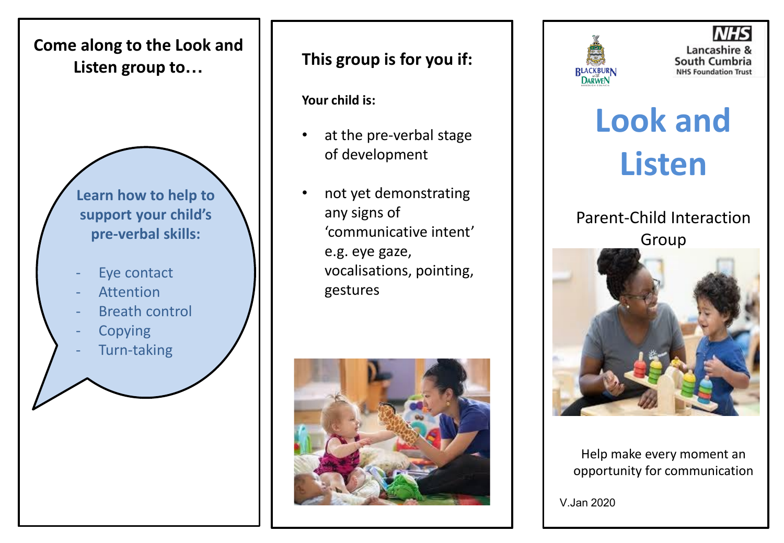

**This group is for you if:**

**Your child is:**

- at the pre-verbal stage of development
- not yet demonstrating any signs of 'communicative intent' e.g. eye gaze, vocalisations, pointing, gestures





Lancashire & South Cumbria **NHS Foundation Trust** 

**Look and Listen** 

Parent-Child Interaction Group



Help make every moment an opportunity for communication

V.Jan 2020